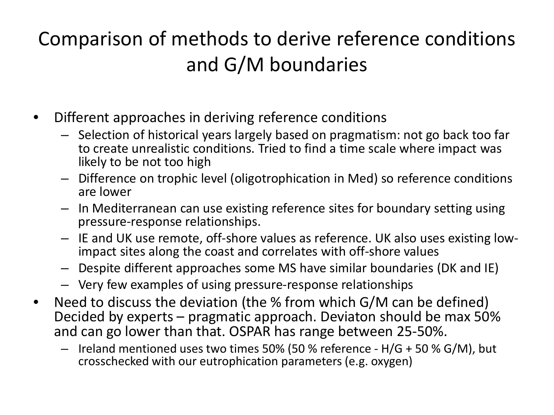## Comparison of methods to derive reference conditions and G/M boundaries

- Different approaches in deriving reference conditions
	- Selection of historical years largely based on pragmatism: not go back too far to create unrealistic conditions. Tried to find a time scale where impact was likely to be not too high
	- Difference on trophic level (oligotrophication in Med) so reference conditions are lower
	- In Mediterranean can use existing reference sites for boundary setting using pressure-response relationships.
	- IE and UK use remote, off-shore values as reference. UK also uses existing low- impact sites along the coast and correlates with off-shore values
	- Despite different approaches some MS have similar boundaries (DK and IE)
	- Very few examples of using pressure-response relationships
- Need to discuss the deviation (the % from which G/M can be defined) Decided by experts – pragmatic approach. Deviaton should be max 50% and can go lower than that. OSPAR has range between 25-50%.
	- Ireland mentioned uses two times 50% (50 % reference H/G + 50 % G/M), but crosschecked with our eutrophication parameters (e.g. oxygen)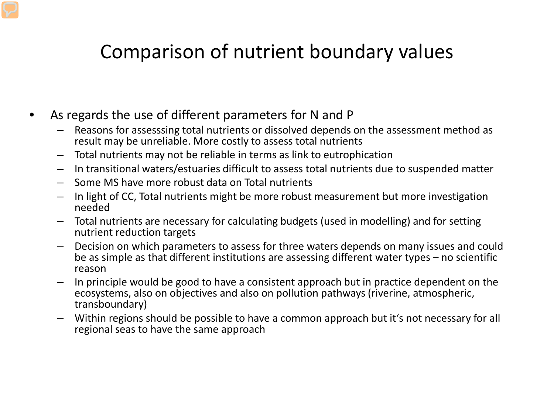### Comparison of nutrient boundary values

- As regards the use of different parameters for N and P
	- Reasons for assesssing total nutrients or dissolved depends on the assessment method as result may be unreliable. More costly to assess total nutrients
	- Total nutrients may not be reliable in terms as link to eutrophication
	- In transitional waters/estuaries difficult to assess total nutrients due to suspended matter
	- Some MS have more robust data on Total nutrients
	- In light of CC, Total nutrients might be more robust measurement but more investigation needed
	- Total nutrients are necessary for calculating budgets (used in modelling) and for setting nutrient reduction targets
	- Decision on which parameters to assess for three waters depends on many issues and could be as simple as that different institutions are assessing different water types – no scientific reason
	- In principle would be good to have a consistent approach but in practice dependent on the ecosystems, also on objectives and also on pollution pathways (riverine, atmospheric, transboundary)
	- Within regions should be possible to have a common approach but it's not necessary for all regional seas to have the same approach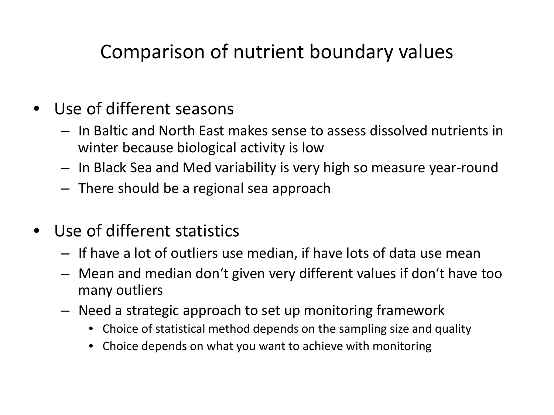### Comparison of nutrient boundary values

- Use of different seasons
	- In Baltic and North East makes sense to assess dissolved nutrients in winter because biological activity is low
	- In Black Sea and Med variability is very high so measure year-round
	- There should be a regional sea approach
- Use of different statistics
	- If have a lot of outliers use median, if have lots of data use mean
	- Mean and median don't given very different values if don't have too many outliers
	- Need a strategic approach to set up monitoring framework
		- Choice of statistical method depends on the sampling size and quality
		- Choice depends on what you want to achieve with monitoring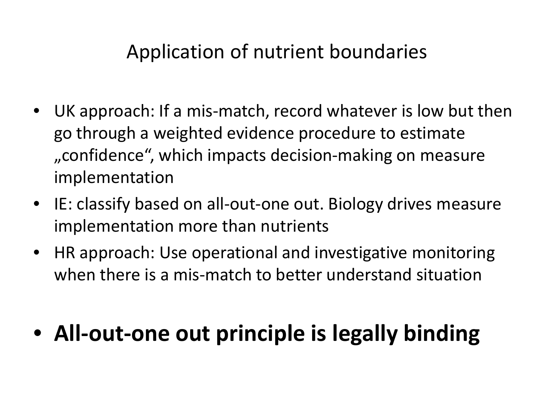### Application of nutrient boundaries

- UK approach: If a mis-match, record whatever is low but then go through a weighted evidence procedure to estimate , confidence", which impacts decision-making on measure implementation
- IE: classify based on all-out-one out. Biology drives measure implementation more than nutrients
- HR approach: Use operational and investigative monitoring when there is a mis-match to better understand situation

# • **All-out-one out principle is legally binding**